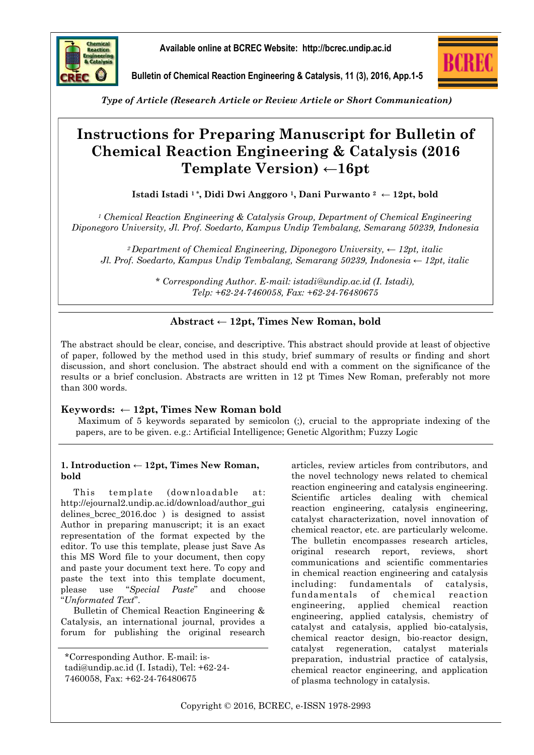

**Available online at BCREC Website: http://bcrec.undip.ac.id**



**Bulletin of Chemical Reaction Engineering & Catalysis, 11 (3), 2016, App.1-5**

*Type of Article (Research Article or Review Article or Short Communication)*

# **Instructions for Preparing Manuscript for Bulletin of Chemical Reaction Engineering & Catalysis (2016 Template Version)** ←**16pt**

**Istadi Istadi 1 \*, Didi Dwi Anggoro 1, Dani Purwanto <sup>2</sup> ← 12pt, bold** 

*<sup>1</sup> Chemical Reaction Engineering & Catalysis Group, Department of Chemical Engineering Diponegoro University, Jl. Prof. Soedarto, Kampus Undip Tembalang, Semarang 50239, Indonesia* 

*<sup>2</sup>Department of Chemical Engineering, Diponegoro University, ← 12pt, italic Jl. Prof. Soedarto, Kampus Undip Tembalang, Semarang 50239, Indonesia ← 12pt, italic*

> *\* Corresponding Author. E-mail: istadi@undip.ac.id (I. Istadi), Telp: +62-24-7460058, Fax: +62-24-76480675*

# **Abstract ← 12pt, Times New Roman, bold**

The abstract should be clear, concise, and descriptive. This abstract should provide at least of objective of paper, followed by the method used in this study, brief summary of results or finding and short discussion, and short conclusion. The abstract should end with a comment on the significance of the results or a brief conclusion. Abstracts are written in 12 pt Times New Roman, preferably not more than 300 words.

# **Keywords: ← 12pt, Times New Roman bold**

Maximum of 5 keywords separated by semicolon (;), crucial to the appropriate indexing of the papers, are to be given. e.g.: Artificial Intelligence; Genetic Algorithm; Fuzzy Logic

## **1. Introduction ← 12pt, Times New Roman, bold**

This template (downloadable at: http://ejournal2.undip.ac.id/download/author\_gui delines\_bcrec\_2016.doc ) is designed to assist Author in preparing manuscript; it is an exact representation of the format expected by the editor. To use this template, please just Save As this MS Word file to your document, then copy and paste your document text here. To copy and paste the text into this template document, please use "*Special Paste*" and choose "*Unformated Text*".

Bulletin of Chemical Reaction Engineering & Catalysis, an international journal, provides a forum for publishing the original research articles, review articles from contributors, and the novel technology news related to chemical reaction engineering and catalysis engineering. Scientific articles dealing with chemical reaction engineering, catalysis engineering, catalyst characterization, novel innovation of chemical reactor, etc. are particularly welcome. The bulletin encompasses research articles, original research report, reviews, short communications and scientific commentaries in chemical reaction engineering and catalysis including: fundamentals of catalysis, fundamentals of chemical reaction engineering, applied chemical reaction engineering, applied catalysis, chemistry of catalyst and catalysis, applied bio-catalysis, chemical reactor design, bio-reactor design, catalyst regeneration, catalyst materials preparation, industrial practice of catalysis, chemical reactor engineering, and application of plasma technology in catalysis.

Copyright © 2016, BCREC, e-ISSN 1978-2993

<sup>\*</sup>Corresponding Author. E-mail: istadi@undip.ac.id (I. Istadi), Tel: +62-24- 7460058, Fax: +62-24-76480675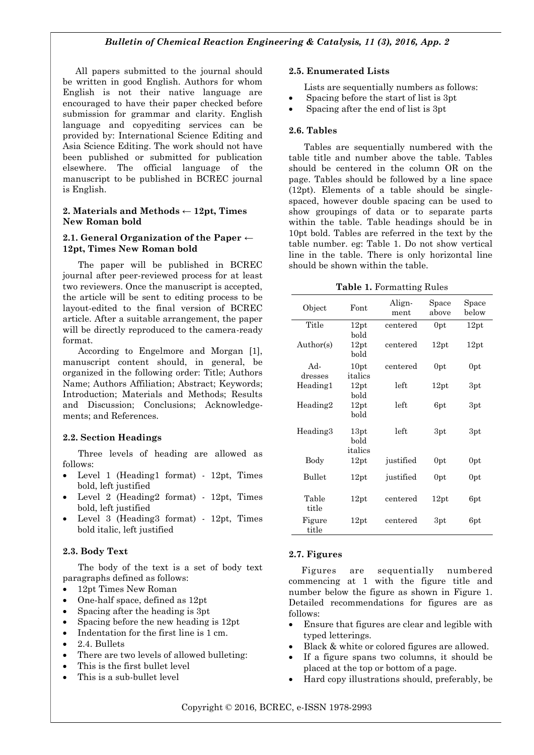All papers submitted to the journal should be written in good English. Authors for whom English is not their native language are encouraged to have their paper checked before submission for grammar and clarity. English language and copyediting services can be provided by: International Science Editing and Asia Science Editing. The work should not have been published or submitted for publication elsewhere. The official language of the manuscript to be published in BCREC journal is English.

#### **2. Materials and Methods ← 12pt, Times New Roman bold**

#### **2.1. General Organization of the Paper ← 12pt, Times New Roman bold**

The paper will be published in BCREC journal after peer-reviewed process for at least two reviewers. Once the manuscript is accepted, the article will be sent to editing process to be layout-edited to the final version of BCREC article. After a suitable arrangement, the paper will be directly reproduced to the camera-ready format.

According to Engelmore and Morgan [1], manuscript content should, in general, be organized in the following order: Title; Authors Name; Authors Affiliation; Abstract; Keywords; Introduction; Materials and Methods; Results and Discussion; Conclusions; Acknowledgements; and References.

#### **2.2. Section Headings**

Three levels of heading are allowed as follows:

- Level 1 (Heading1 format) 12pt, Times bold, left justified
- Level 2 (Heading2 format) 12pt, Times bold, left justified
- Level 3 (Heading3 format) 12pt, Times bold italic, left justified

#### **2.3. Body Text**

The body of the text is a set of body text paragraphs defined as follows:

- 12pt Times New Roman
- One-half space, defined as 12pt
- Spacing after the heading is 3pt
- Spacing before the new heading is 12pt
- Indentation for the first line is 1 cm.
- 2.4. Bullets
- There are two levels of allowed bulleting:
- This is the first bullet level
- This is a sub-bullet level

#### **2.5. Enumerated Lists**

Lists are sequentially numbers as follows:

- Spacing before the start of list is 3pt
- Spacing after the end of list is 3pt

#### **2.6. Tables**

Tables are sequentially numbered with the table title and number above the table. Tables should be centered in the column OR on the page. Tables should be followed by a line space (12pt). Elements of a table should be singlespaced, however double spacing can be used to show groupings of data or to separate parts within the table. Table headings should be in 10pt bold. Tables are referred in the text by the table number. eg: Table 1. Do not show vertical line in the table. There is only horizontal line should be shown within the table.

**Table 1.** Formatting Rules

| Object          | Font                    | Align-<br>ment | Space<br>above  | Space<br>below  |
|-----------------|-------------------------|----------------|-----------------|-----------------|
| Title           | 12pt<br>bold            | centered       | 0 <sub>pt</sub> | 12pt            |
| Author(s)       | 12pt<br>bold            | centered       | 12pt            | 12pt            |
| Ad-<br>dresses  | 10pt<br>italics         | centered       | 0pt             | 0 <sub>pt</sub> |
| Heading1        | 12pt<br>bold            | left           | 12pt            | 3pt             |
| Heading2        | 12pt<br>bold            | left           | 6pt             | 3pt             |
| Heading3        | 13pt<br>bold<br>italics | left           | 3pt             | 3pt             |
| Body            | 12pt                    | justified      | 0pt             | 0pt             |
| Bullet          | 12pt                    | justified      | 0pt             | 0pt             |
| Table<br>title  | 12pt                    | centered       | 12pt            | 6pt             |
| Figure<br>title | 12pt                    | centered       | 3pt             | 6pt             |

## **2.7. Figures**

Figures are sequentially numbered commencing at 1 with the figure title and number below the figure as shown in Figure 1. Detailed recommendations for figures are as follows:

- Ensure that figures are clear and legible with typed letterings.
- Black & white or colored figures are allowed.
- If a figure spans two columns, it should be placed at the top or bottom of a page.
- Hard copy illustrations should, preferably, be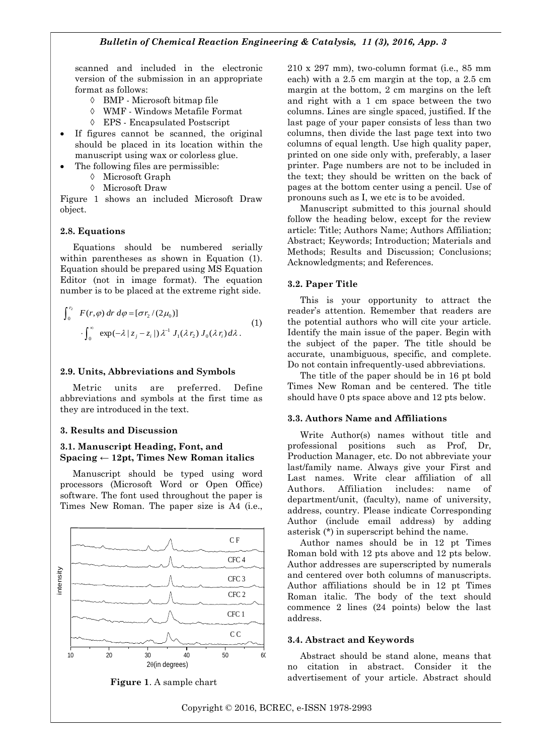scanned and included in the electronic version of the submission in an appropriate format as follows:

- $\Diamond$  BMP Microsoft bitmap file
- WMF Windows Metafile Format
- EPS Encapsulated Postscript
- If figures cannot be scanned, the original should be placed in its location within the manuscript using wax or colorless glue.
- The following files are permissible:
	- $\Diamond$  Microsoft Graph
	- Microsoft Draw

Figure 1 shows an included Microsoft Draw object.

#### **2.8. Equations**

Equations should be numbered serially within parentheses as shown in Equation (1). Equation should be prepared using MS Equation Editor (not in image format). The equation number is to be placed at the extreme right side.

$$
\int_0^{r_2} F(r,\varphi) dr d\varphi = [\sigma r_2/(2\mu_0)]
$$
  

$$
\int_0^{\infty} \exp(-\lambda |z_j - z_i|) \lambda^{-1} J_1(\lambda r_2) J_0(\lambda r_i) d\lambda.
$$
 (1)

#### **2.9. Units, Abbreviations and Symbols**

Metric units are preferred. Define abbreviations and symbols at the first time as they are introduced in the text.

#### **3. Results and Discussion**

## **3.1. Manuscript Heading, Font, and Spacing ← 12pt, Times New Roman italics**

Manuscript should be typed using word processors (Microsoft Word or Open Office) software. The font used throughout the paper is Times New Roman. The paper size is A4 (i.e.,



**Figure 1**. A sample chart

210 x 297 mm), two-column format (i.e., 85 mm each) with a 2.5 cm margin at the top, a 2.5 cm margin at the bottom, 2 cm margins on the left and right with a 1 cm space between the two columns. Lines are single spaced, justified. If the last page of your paper consists of less than two columns, then divide the last page text into two columns of equal length. Use high quality paper, printed on one side only with, preferably, a laser printer. Page numbers are not to be included in the text; they should be written on the back of pages at the bottom center using a pencil. Use of pronouns such as I, we etc is to be avoided.

Manuscript submitted to this journal should follow the heading below, except for the review article: Title; Authors Name; Authors Affiliation; Abstract; Keywords; Introduction; Materials and Methods; Results and Discussion; Conclusions; Acknowledgments; and References.

#### **3.2. Paper Title**

This is your opportunity to attract the reader's attention. Remember that readers are the potential authors who will cite your article. Identify the main issue of the paper. Begin with the subject of the paper. The title should be accurate, unambiguous, specific, and complete. Do not contain infrequently-used abbreviations.

The title of the paper should be in 16 pt bold Times New Roman and be centered. The title should have 0 pts space above and 12 pts below.

#### **3.3. Authors Name and Affiliations**

Write Author(s) names without title and professional positions such as Prof, Dr, Production Manager, etc. Do not abbreviate your last/family name. Always give your First and Last names. Write clear affiliation of all Authors. Affiliation includes: name of department/unit, (faculty), name of university, address, country. Please indicate Corresponding Author (include email address) by adding asterisk (\*) in superscript behind the name.

Author names should be in 12 pt Times Roman bold with 12 pts above and 12 pts below. Author addresses are superscripted by numerals and centered over both columns of manuscripts. Author affiliations should be in 12 pt Times Roman italic. The body of the text should commence 2 lines (24 points) below the last address.

#### **3.4. Abstract and Keywords**

Abstract should be stand alone, means that no citation in abstract. Consider it the advertisement of your article. Abstract should

Copyright © 2016, BCREC, e-ISSN 1978-2993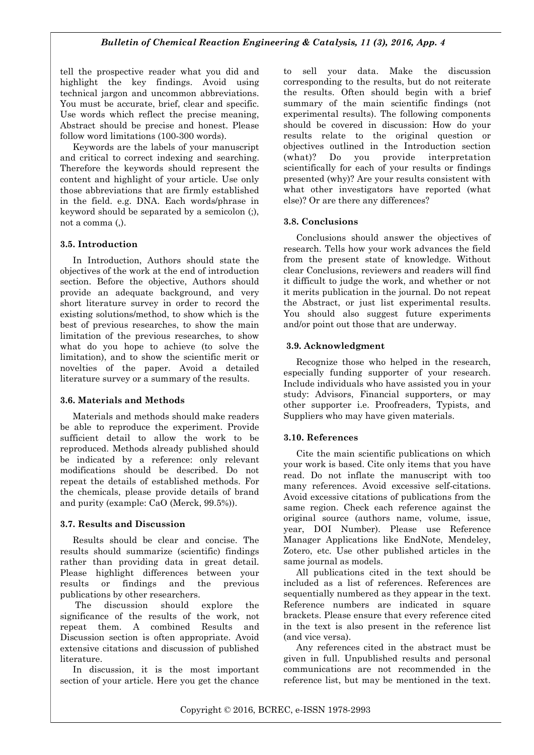tell the prospective reader what you did and highlight the key findings. Avoid using technical jargon and uncommon abbreviations. You must be accurate, brief, clear and specific. Use words which reflect the precise meaning, Abstract should be precise and honest. Please follow word limitations (100‐300 words).

Keywords are the labels of your manuscript and critical to correct indexing and searching. Therefore the keywords should represent the content and highlight of your article. Use only those abbreviations that are firmly established in the field. e.g. DNA. Each words/phrase in keyword should be separated by a semicolon (;), not a comma (,).

## **3.5. Introduction**

In Introduction, Authors should state the objectives of the work at the end of introduction section. Before the objective, Authors should provide an adequate background, and very short literature survey in order to record the existing solutions/method, to show which is the best of previous researches, to show the main limitation of the previous researches, to show what do you hope to achieve (to solve the limitation), and to show the scientific merit or novelties of the paper. Avoid a detailed literature survey or a summary of the results.

## **3.6. Materials and Methods**

Materials and methods should make readers be able to reproduce the experiment. Provide sufficient detail to allow the work to be reproduced. Methods already published should be indicated by a reference: only relevant modifications should be described. Do not repeat the details of established methods. For the chemicals, please provide details of brand and purity (example: CaO (Merck, 99.5%)).

## **3.7. Results and Discussion**

Results should be clear and concise. The results should summarize (scientific) findings rather than providing data in great detail. Please highlight differences between your results or findings and the previous publications by other researchers.

The discussion should explore the significance of the results of the work, not repeat them. A combined Results and Discussion section is often appropriate. Avoid extensive citations and discussion of published literature.

In discussion, it is the most important section of your article. Here you get the chance to sell your data. Make the discussion corresponding to the results, but do not reiterate the results. Often should begin with a brief summary of the main scientific findings (not experimental results). The following components should be covered in discussion: How do your results relate to the original question or objectives outlined in the Introduction section (what)? Do you provide interpretation scientifically for each of your results or findings presented (why)? Are your results consistent with what other investigators have reported (what else)? Or are there any differences?

## **3.8. Conclusions**

Conclusions should answer the objectives of research. Tells how your work advances the field from the present state of knowledge. Without clear Conclusions, reviewers and readers will find it difficult to judge the work, and whether or not it merits publication in the journal. Do not repeat the Abstract, or just list experimental results. You should also suggest future experiments and/or point out those that are underway.

## **3.9. Acknowledgment**

Recognize those who helped in the research, especially funding supporter of your research. Include individuals who have assisted you in your study: Advisors, Financial supporters, or may other supporter i.e. Proofreaders, Typists, and Suppliers who may have given materials.

## **3.10. References**

Cite the main scientific publications on which your work is based. Cite only items that you have read. Do not inflate the manuscript with too many references. Avoid excessive self-citations. Avoid excessive citations of publications from the same region. Check each reference against the original source (authors name, volume, issue, year, DOI Number). Please use Reference Manager Applications like EndNote, Mendeley, Zotero, etc. Use other published articles in the same journal as models.

All publications cited in the text should be included as a list of references. References are sequentially numbered as they appear in the text. Reference numbers are indicated in square brackets. Please ensure that every reference cited in the text is also present in the reference list (and vice versa).

Any references cited in the abstract must be given in full. Unpublished results and personal communications are not recommended in the reference list, but may be mentioned in the text.